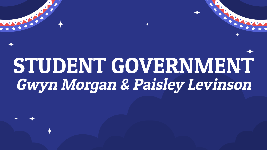# STUDENT GOVERNMENT Gwyn Morgan & Paisley Levinson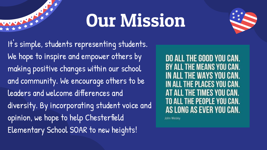### Our Mission



It's simple, students representing students. We hope to inspire and empower others by making positive changes within our school and community. We encourage others to be leaders and welcome differences and diversity. By incorporating student voice and opinion, we hope to help Chesterfield Elementary School SOAR to new heights!

**DO ALL THE GOOD YOU CAN. BY ALL THE MEANS YOU CAN. IN ALL THE WAYS YOU CAN.** IN ALL THE PLACES YOU CAN. AT ALL THE TIMES YOU CAN. TO ALL THE PEOPLE YOU CAN. AS LONG AS EVER YOU CAN.

John Wesley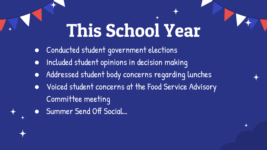## This School Year

- Conducted student government elections
- Included student opinions in decision making
- Addressed student body concerns regarding lunches
- Voiced student concerns at the Food Service Advisory Committee meeting
	- Summer Send Off Social...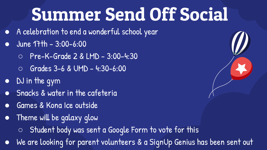### Summer Send Off Social

- A celebration to end a wonderful school year
- $\bullet$  June 17th 3:00-6:00
	- Pre-K-Grade 2 & LMD 3:00-4:30
	- $\overline{O}$  Grades 3-6 & UMD 4:30-6:00
- DJ in the gym
- Snacks & water in the cafeteria
- Games & Kona Ice outside
- Theme will be galaxy glow
	- Student body was sent a Google Form to vote for this
- We are looking for parent volunteers & a SignUp Genius has been sent out